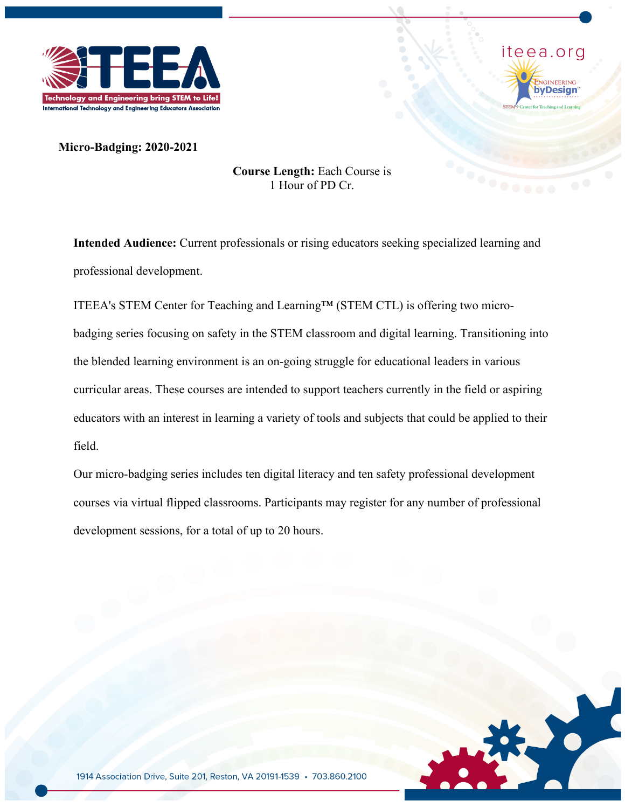



**Micro-Badging: 2020-2021**

### **Course Length:** Each Course is 1 Hour of PD Cr.

**Intended Audience:** Current professionals or rising educators seeking specialized learning and professional development.

ITEEA's STEM Center for Teaching and Learning™ (STEM CTL) is offering two microbadging series focusing on safety in the STEM classroom and digital learning. Transitioning into the blended learning environment is an on-going struggle for educational leaders in various curricular areas. These courses are intended to support teachers currently in the field or aspiring educators with an interest in learning a variety of tools and subjects that could be applied to their field.

Our micro-badging series includes ten digital literacy and ten safety professional development courses via virtual flipped classrooms. Participants may register for any number of professional development sessions, for a total of up to 20 hours.

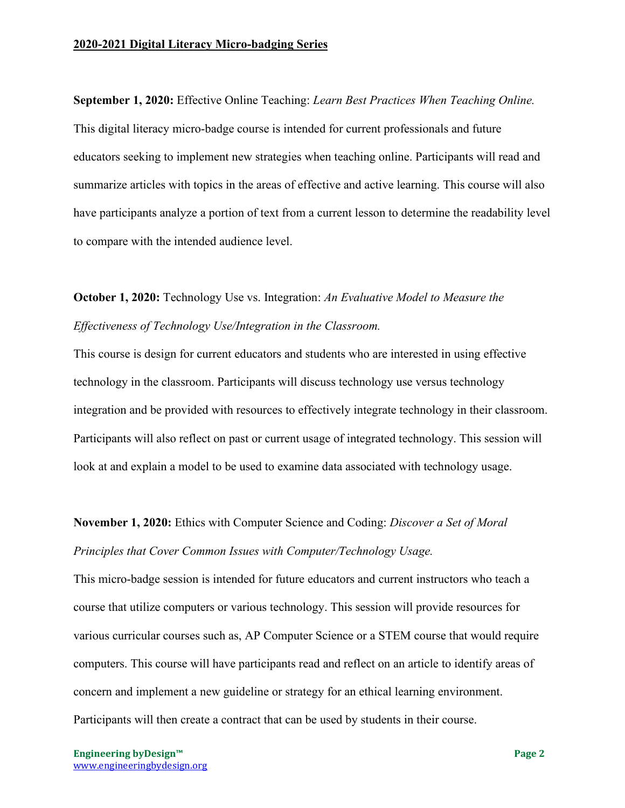**September 1, 2020:** Effective Online Teaching: *Learn Best Practices When Teaching Online.* This digital literacy micro-badge course is intended for current professionals and future educators seeking to implement new strategies when teaching online. Participants will read and summarize articles with topics in the areas of effective and active learning. This course will also have participants analyze a portion of text from a current lesson to determine the readability level to compare with the intended audience level.

### **October 1, 2020:** Technology Use vs. Integration: *An Evaluative Model to Measure the Effectiveness of Technology Use/Integration in the Classroom.*

This course is design for current educators and students who are interested in using effective technology in the classroom. Participants will discuss technology use versus technology integration and be provided with resources to effectively integrate technology in their classroom. Participants will also reflect on past or current usage of integrated technology. This session will look at and explain a model to be used to examine data associated with technology usage.

# **November 1, 2020:** Ethics with Computer Science and Coding: *Discover a Set of Moral Principles that Cover Common Issues with Computer/Technology Usage.*

This micro-badge session is intended for future educators and current instructors who teach a course that utilize computers or various technology. This session will provide resources for various curricular courses such as, AP Computer Science or a STEM course that would require computers. This course will have participants read and reflect on an article to identify areas of concern and implement a new guideline or strategy for an ethical learning environment. Participants will then create a contract that can be used by students in their course.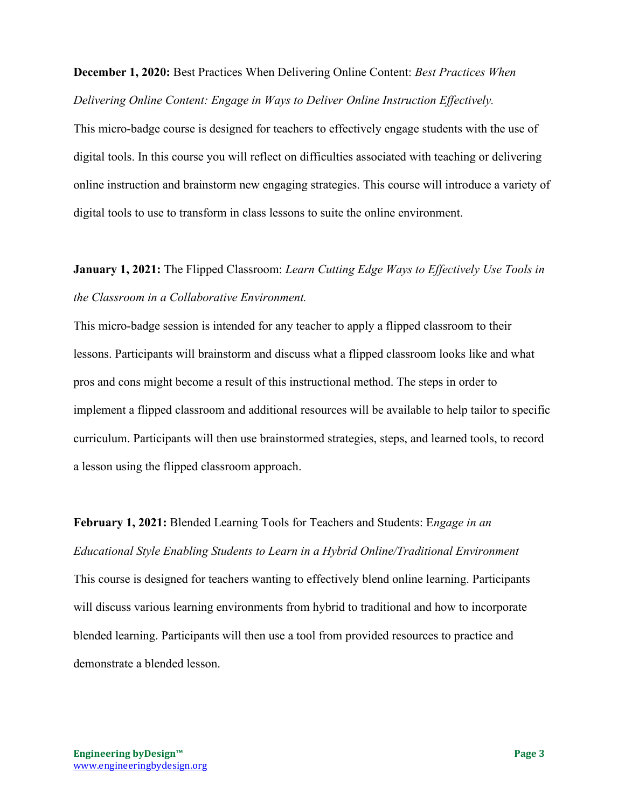**December 1, 2020:** Best Practices When Delivering Online Content: *Best Practices When Delivering Online Content: Engage in Ways to Deliver Online Instruction Effectively.*

This micro-badge course is designed for teachers to effectively engage students with the use of digital tools. In this course you will reflect on difficulties associated with teaching or delivering online instruction and brainstorm new engaging strategies. This course will introduce a variety of digital tools to use to transform in class lessons to suite the online environment.

# **January 1, 2021:** The Flipped Classroom: *Learn Cutting Edge Ways to Effectively Use Tools in the Classroom in a Collaborative Environment.*

This micro-badge session is intended for any teacher to apply a flipped classroom to their lessons. Participants will brainstorm and discuss what a flipped classroom looks like and what pros and cons might become a result of this instructional method. The steps in order to implement a flipped classroom and additional resources will be available to help tailor to specific curriculum. Participants will then use brainstormed strategies, steps, and learned tools, to record a lesson using the flipped classroom approach.

# **February 1, 2021:** Blended Learning Tools for Teachers and Students: E*ngage in an Educational Style Enabling Students to Learn in a Hybrid Online/Traditional Environment* This course is designed for teachers wanting to effectively blend online learning. Participants will discuss various learning environments from hybrid to traditional and how to incorporate blended learning. Participants will then use a tool from provided resources to practice and demonstrate a blended lesson.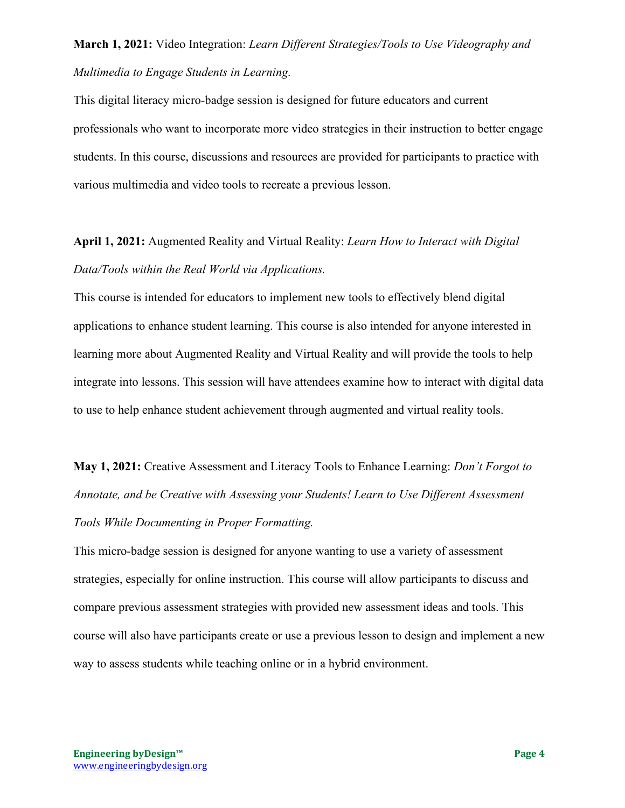# **March 1, 2021:** Video Integration: *Learn Different Strategies/Tools to Use Videography and Multimedia to Engage Students in Learning.*

This digital literacy micro-badge session is designed for future educators and current professionals who want to incorporate more video strategies in their instruction to better engage students. In this course, discussions and resources are provided for participants to practice with various multimedia and video tools to recreate a previous lesson.

**April 1, 2021:** Augmented Reality and Virtual Reality: *Learn How to Interact with Digital Data/Tools within the Real World via Applications.*

This course is intended for educators to implement new tools to effectively blend digital applications to enhance student learning. This course is also intended for anyone interested in learning more about Augmented Reality and Virtual Reality and will provide the tools to help integrate into lessons. This session will have attendees examine how to interact with digital data to use to help enhance student achievement through augmented and virtual reality tools.

**May 1, 2021:** Creative Assessment and Literacy Tools to Enhance Learning: *Don't Forgot to Annotate, and be Creative with Assessing your Students! Learn to Use Different Assessment Tools While Documenting in Proper Formatting.*

This micro-badge session is designed for anyone wanting to use a variety of assessment strategies, especially for online instruction. This course will allow participants to discuss and compare previous assessment strategies with provided new assessment ideas and tools. This course will also have participants create or use a previous lesson to design and implement a new way to assess students while teaching online or in a hybrid environment.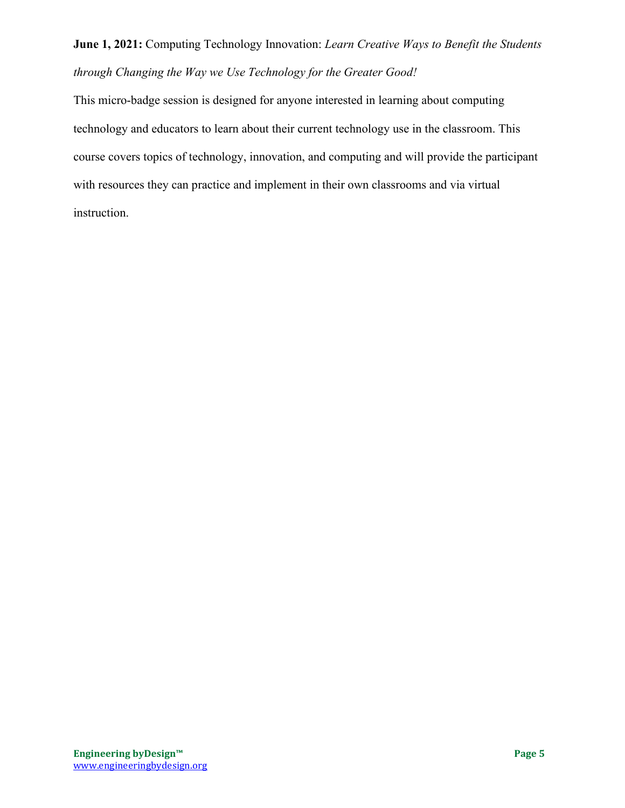# **June 1, 2021:** Computing Technology Innovation: *Learn Creative Ways to Benefit the Students through Changing the Way we Use Technology for the Greater Good!*

This micro-badge session is designed for anyone interested in learning about computing technology and educators to learn about their current technology use in the classroom. This course covers topics of technology, innovation, and computing and will provide the participant with resources they can practice and implement in their own classrooms and via virtual instruction.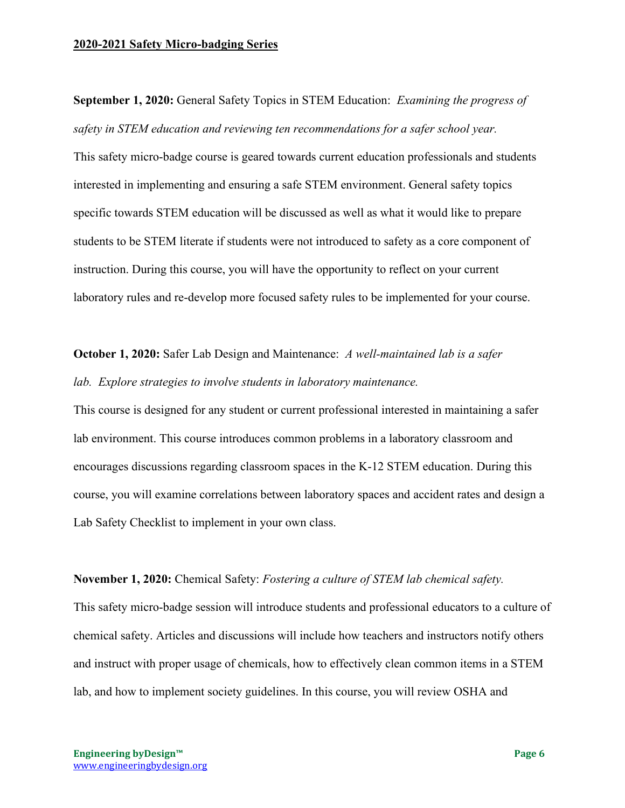#### **2020-2021 Safety Micro-badging Series**

**September 1, 2020:** General Safety Topics in STEM Education: *Examining the progress of safety in STEM education and reviewing ten recommendations for a safer school year.* This safety micro-badge course is geared towards current education professionals and students interested in implementing and ensuring a safe STEM environment. General safety topics specific towards STEM education will be discussed as well as what it would like to prepare students to be STEM literate if students were not introduced to safety as a core component of instruction. During this course, you will have the opportunity to reflect on your current laboratory rules and re-develop more focused safety rules to be implemented for your course.

### **October 1, 2020:** Safer Lab Design and Maintenance: *A well-maintained lab is a safer lab. Explore strategies to involve students in laboratory maintenance.*

This course is designed for any student or current professional interested in maintaining a safer lab environment. This course introduces common problems in a laboratory classroom and encourages discussions regarding classroom spaces in the K-12 STEM education. During this course, you will examine correlations between laboratory spaces and accident rates and design a Lab Safety Checklist to implement in your own class.

#### **November 1, 2020:** Chemical Safety: *Fostering a culture of STEM lab chemical safety.*

This safety micro-badge session will introduce students and professional educators to a culture of chemical safety. Articles and discussions will include how teachers and instructors notify others and instruct with proper usage of chemicals, how to effectively clean common items in a STEM lab, and how to implement society guidelines. In this course, you will review OSHA and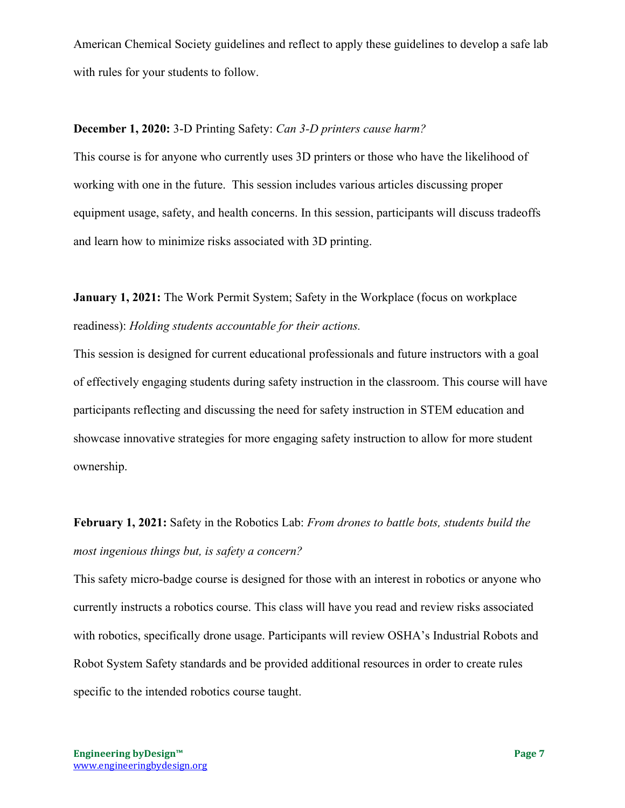American Chemical Society guidelines and reflect to apply these guidelines to develop a safe lab with rules for your students to follow.

### **December 1, 2020:** 3-D Printing Safety: *Can 3-D printers cause harm?*

This course is for anyone who currently uses 3D printers or those who have the likelihood of working with one in the future. This session includes various articles discussing proper equipment usage, safety, and health concerns. In this session, participants will discuss tradeoffs and learn how to minimize risks associated with 3D printing.

**January 1, 2021:** The Work Permit System; Safety in the Workplace (focus on workplace readiness): *Holding students accountable for their actions.*

This session is designed for current educational professionals and future instructors with a goal of effectively engaging students during safety instruction in the classroom. This course will have participants reflecting and discussing the need for safety instruction in STEM education and showcase innovative strategies for more engaging safety instruction to allow for more student ownership.

# **February 1, 2021:** Safety in the Robotics Lab: *From drones to battle bots, students build the most ingenious things but, is safety a concern?*

This safety micro-badge course is designed for those with an interest in robotics or anyone who currently instructs a robotics course. This class will have you read and review risks associated with robotics, specifically drone usage. Participants will review OSHA's Industrial Robots and Robot System Safety standards and be provided additional resources in order to create rules specific to the intended robotics course taught.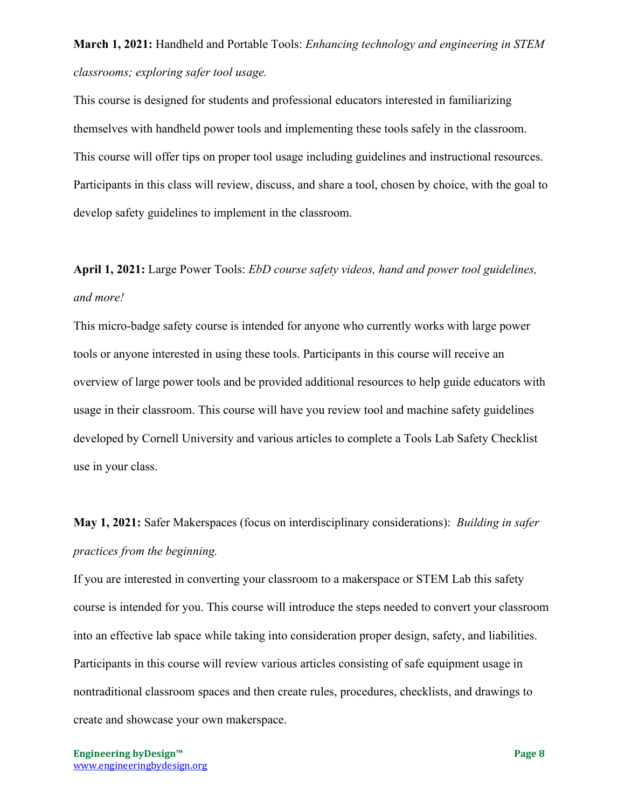# **March 1, 2021:** Handheld and Portable Tools: *Enhancing technology and engineering in STEM classrooms; exploring safer tool usage.*

This course is designed for students and professional educators interested in familiarizing themselves with handheld power tools and implementing these tools safely in the classroom. This course will offer tips on proper tool usage including guidelines and instructional resources. Participants in this class will review, discuss, and share a tool, chosen by choice, with the goal to develop safety guidelines to implement in the classroom.

# **April 1, 2021:** Large Power Tools: *EbD course safety videos, hand and power tool guidelines, and more!*

This micro-badge safety course is intended for anyone who currently works with large power tools or anyone interested in using these tools. Participants in this course will receive an overview of large power tools and be provided additional resources to help guide educators with usage in their classroom. This course will have you review tool and machine safety guidelines developed by Cornell University and various articles to complete a Tools Lab Safety Checklist use in your class.

# **May 1, 2021:** Safer Makerspaces (focus on interdisciplinary considerations): *Building in safer practices from the beginning.*

If you are interested in converting your classroom to a makerspace or STEM Lab this safety course is intended for you. This course will introduce the steps needed to convert your classroom into an effective lab space while taking into consideration proper design, safety, and liabilities. Participants in this course will review various articles consisting of safe equipment usage in nontraditional classroom spaces and then create rules, procedures, checklists, and drawings to create and showcase your own makerspace.